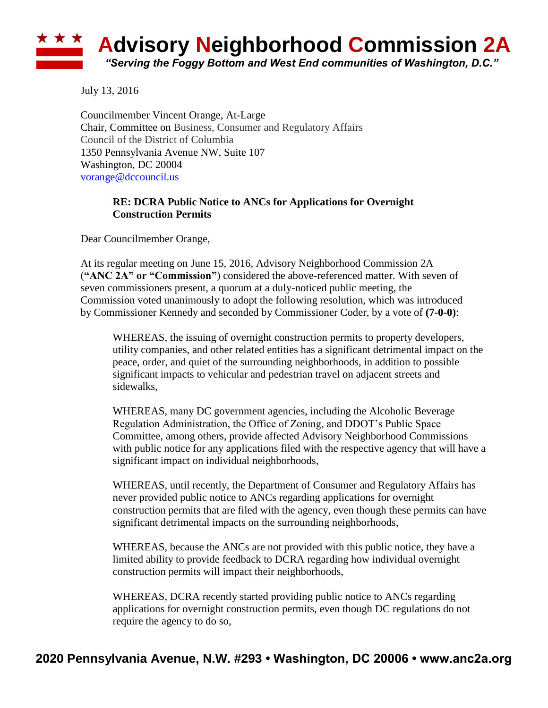## **Advisory Neighborhood Commission 2A** *"Serving the Foggy Bottom and West End communities of Washington, D.C."*

July 13, 2016

Councilmember Vincent Orange, At-Large Chair, Committee on Business, Consumer and Regulatory Affairs Council of the District of Columbia 1350 Pennsylvania Avenue NW, Suite 107 Washington, DC 20004 [vorange@dccouncil.us](mailto:vorange@dccouncil.us)

## **RE: DCRA Public Notice to ANCs for Applications for Overnight Construction Permits**

Dear Councilmember Orange,

At its regular meeting on June 15, 2016, Advisory Neighborhood Commission 2A (**"ANC 2A" or "Commission"**) considered the above-referenced matter. With seven of seven commissioners present, a quorum at a duly-noticed public meeting, the Commission voted unanimously to adopt the following resolution, which was introduced by Commissioner Kennedy and seconded by Commissioner Coder, by a vote of **(7-0-0)**:

WHEREAS, the issuing of overnight construction permits to property developers, utility companies, and other related entities has a significant detrimental impact on the peace, order, and quiet of the surrounding neighborhoods, in addition to possible significant impacts to vehicular and pedestrian travel on adjacent streets and sidewalks,

WHEREAS, many DC government agencies, including the Alcoholic Beverage Regulation Administration, the Office of Zoning, and DDOT's Public Space Committee, among others, provide affected Advisory Neighborhood Commissions with public notice for any applications filed with the respective agency that will have a significant impact on individual neighborhoods,

WHEREAS, until recently, the Department of Consumer and Regulatory Affairs has never provided public notice to ANCs regarding applications for overnight construction permits that are filed with the agency, even though these permits can have significant detrimental impacts on the surrounding neighborhoods,

WHEREAS, because the ANCs are not provided with this public notice, they have a limited ability to provide feedback to DCRA regarding how individual overnight construction permits will impact their neighborhoods,

WHEREAS, DCRA recently started providing public notice to ANCs regarding applications for overnight construction permits, even though DC regulations do not require the agency to do so,